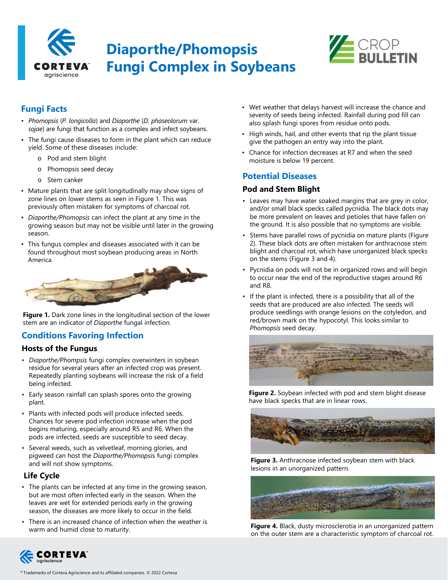

# **Diaporthe/Phomopsis Fungi Complex in Soybeans**



# **Fungi Facts**

- *Phomopsis* (*P. longicolla*) and *Diaporthe* (*D. phaseolorum* var. *sojae*) are fungi that function as a complex and infect soybeans.
- The fungi cause diseases to form in the plant which can reduce yield. Some of these diseases include:
	- o Pod and stem blight
	- o Phomopsis seed decay
	- o Stem canker
- Mature plants that are split longitudinally may show signs of zone lines on lower stems as seen in Figure 1. This was previously often mistaken for symptoms of charcoal rot.
- *Diaporthe/Phomopsis* can infect the plant at any time in the growing season but may not be visible until later in the growing season.
- This fungus complex and diseases associated with it can be found throughout most soybean producing areas in North America.



**Figure 1.** Dark zone lines in the longitudinal section of the lower stem are an indicator of *Diaporthe* fungal infection.

# **Conditions Favoring Infection**

#### **Hosts of the Fungus**

- *Diaporthe/Phompsis* fungi complex overwinters in soybean residue for several years after an infected crop was present. Repeatedly planting soybeans will increase the risk of a field being infected.
- Early season rainfall can splash spores onto the growing plant.
- Plants with infected pods will produce infected seeds. Chances for severe pod infection increase when the pod begins maturing, especially around R5 and R6. When the pods are infected, seeds are susceptible to seed decay.
- Several weeds, such as velvetleaf, morning glories, and pigweed can host the *Diaporthe/Phomopsi*s fungi complex and will not show symptoms.

#### **Life Cycle**

- The plants can be infected at any time in the growing season, but are most often infected early in the season. When the leaves are wet for extended periods early in the growing season, the diseases are more likely to occur in the field.
- There is an increased chance of infection when the weather is warm and humid close to maturity.
- Wet weather that delays harvest will increase the chance and severity of seeds being infected. Rainfall during pod fill can also splash fungi spores from residue onto pods.
- High winds, hail, and other events that rip the plant tissue give the pathogen an entry way into the plant.
- Chance for infection decreases at R7 and when the seed moisture is below 19 percent.

## **Potential Diseases**

#### **Pod and Stem Blight**

- Leaves may have water soaked margins that are grey in color, and/or small black specks called pycnidia. The black dots may be more prevalent on leaves and petioles that have fallen on the ground. It is also possible that no symptoms are visible.
- Stems have parallel rows of pycnidia on mature plants (Figure 2). These black dots are often mistaken for anthracnose stem blight and charcoal rot, which have unorganized black specks on the stems (Figure 3 and 4).
- Pycnidia on pods will not be in organized rows and will begin to occur near the end of the reproductive stages around R6 and R8.
- If the plant is infected, there is a possibility that all of the seeds that are produced are also infected. The seeds will produce seedlings with orange lesions on the cotyledon, and red/brown mark on the hypocotyl. This looks similar to *Phomopsis* seed decay.



**Figure 2.** Soybean infected with pod and stem blight disease have black specks that are in linear rows.



**Figure 3.** Anthracnose infected soybean stem with black lesions in an unorganized pattern.



**Figure 4.** Black, dusty microsclerotia in an unorganized pattern on the outer stem are a characteristic symptom of charcoal rot.